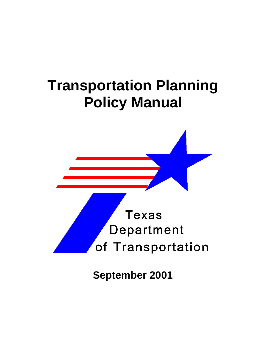



**September 2001**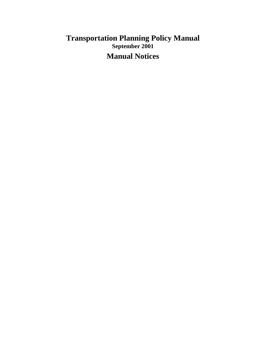# **Transportation Planning Policy Manual September 2001 Manual Notices**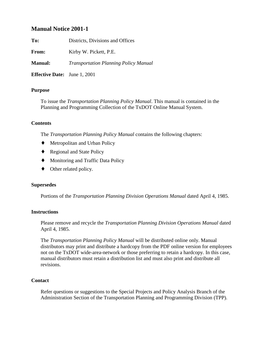### **Manual Notice 2001-1**

**To:** Districts, Divisions and Offices

**From:** Kirby W. Pickett, P.E.

**Manual:** *Transportation Planning Policy Manual*

**Effective Date:** June 1, 2001

#### **Purpose**

To issue the *Transportation Planning Policy Manual*. This manual is contained in the Planning and Programming Collection of the TxDOT Online Manual System.

#### **Contents**

The *Transportation Planning Policy Manual* contains the following chapters:

- ♦ Metropolitan and Urban Policy
- ◆ Regional and State Policy
- ♦ Monitoring and Traffic Data Policy
- $\blacklozenge$  Other related policy.

#### **Supersedes**

Portions of the *Transportation Planning Division Operations Manual* dated April 4, 1985.

#### **Instructions**

Please remove and recycle the *Transportation Planning Division Operations Manual* dated April 4, 1985.

The *Transportation Planning Policy Manual* will be distributed online only. Manual distributors may print and distribute a hardcopy from the PDF online version for employees not on the TxDOT wide-area-network or those preferring to retain a hardcopy. In this case, manual distributors must retain a distribution list and must also print and distribute all revisions.

#### **Contact**

Refer questions or suggestions to the Special Projects and Policy Analysis Branch of the Administration Section of the Transportation Planning and Programming Division (TPP).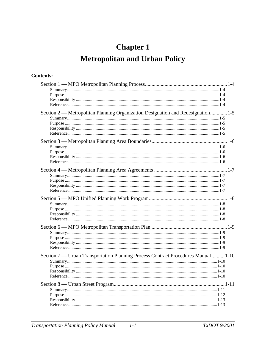# **Chapter 1 Metropolitan and Urban Policy**

## **Contents:**

| Section 2 — Metropolitan Planning Organization Designation and Redesignation 1-5  |  |
|-----------------------------------------------------------------------------------|--|
|                                                                                   |  |
|                                                                                   |  |
|                                                                                   |  |
|                                                                                   |  |
|                                                                                   |  |
|                                                                                   |  |
|                                                                                   |  |
|                                                                                   |  |
|                                                                                   |  |
|                                                                                   |  |
|                                                                                   |  |
|                                                                                   |  |
|                                                                                   |  |
|                                                                                   |  |
|                                                                                   |  |
| Section 7 — Urban Transportation Planning Process Contract Procedures Manual 1-10 |  |
|                                                                                   |  |
|                                                                                   |  |
|                                                                                   |  |
|                                                                                   |  |
|                                                                                   |  |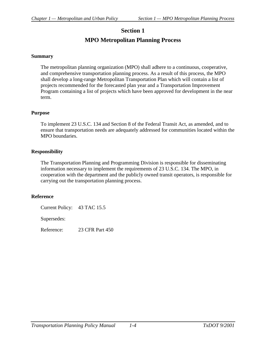# **Section 1 MPO Metropolitan Planning Process**

#### <span id="page-6-0"></span>**Summary**

The metropolitan planning organization (MPO) shall adhere to a continuous, cooperative, and comprehensive transportation planning process. As a result of this process, the MPO shall develop a long-range Metropolitan Transportation Plan which will contain a list of projects recommended for the forecasted plan year and a Transportation Improvement Program containing a list of projects which have been approved for development in the near term.

#### **Purpose**

To implement 23 U.S.C. 134 and Section 8 of the Federal Transit Act, as amended, and to ensure that transportation needs are adequately addressed for communities located within the MPO boundaries.

#### **Responsibility**

The Transportation Planning and Programming Division is responsible for disseminating information necessary to implement the requirements of 23 U.S.C. 134. The MPO, in cooperation with the department and the publicly owned transit operators, is responsible for carrying out the transportation planning process.

#### **Reference**

Current Policy: 43 TAC 15.5

Supersedes:

Reference: 23 CFR Part 450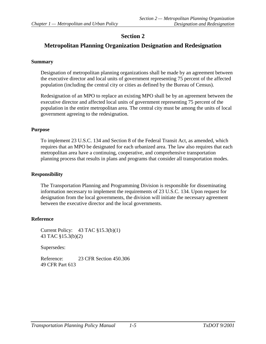# <span id="page-7-0"></span>**Metropolitan Planning Organization Designation and Redesignation**

#### **Summary**

Designation of metropolitan planning organizations shall be made by an agreement between the executive director and local units of government representing 75 percent of the affected population (including the central city or cities as defined by the Bureau of Census).

Redesignation of an MPO to replace an existing MPO shall be by an agreement between the executive director and affected local units of government representing 75 percent of the population in the entire metropolitan area. The central city must be among the units of local government agreeing to the redesignation.

#### **Purpose**

To implement 23 U.S.C. 134 and Section 8 of the Federal Transit Act, as amended, which requires that an MPO be designated for each urbanized area. The law also requires that each metropolitan area have a continuing, cooperative, and comprehensive transportation planning process that results in plans and programs that consider all transportation modes.

### **Responsibility**

The Transportation Planning and Programming Division is responsible for disseminating information necessary to implement the requirements of 23 U.S.C. 134. Upon request for designation from the local governments, the division will initiate the necessary agreement between the executive director and the local governments.

### **Reference**

Current Policy: 43 TAC §15.3(b)(1) 43 TAC §15.3(b)(2)

Supersedes:

Reference: 23 CFR Section 450.306 49 CFR Part 613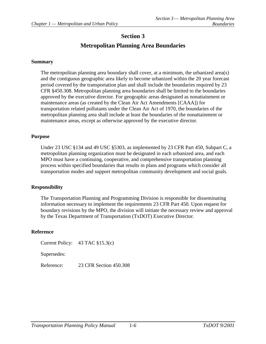# **Metropolitan Planning Area Boundaries**

#### <span id="page-8-0"></span>**Summary**

The metropolitan planning area boundary shall cover, at a minimum, the urbanized area(s) and the contiguous geographic area likely to become urbanized within the 20 year forecast period covered by the transportation plan and shall include the boundaries required by 23 CFR §450.308. Metropolitan planning area boundaries shall be limited to the boundaries approved by the executive director. For geographic areas designated as nonattainment or maintenance areas (as created by the Clean Air Act Amendments [CAAA]) for transportation related pollutants under the Clean Air Act of 1970, the boundaries of the metropolitan planning area shall include at least the boundaries of the nonattainment or maintenance areas, except as otherwise approved by the executive director.

#### **Purpose**

Under 23 USC §134 and 49 USC §5303, as implemented by 23 CFR Part 450, Subpart C, a metropolitan planning organization must be designated in each urbanized area, and each MPO must have a continuing, cooperative, and comprehensive transportation planning process within specified boundaries that results in plans and programs which consider all transportation modes and support metropolitan community development and social goals.

#### **Responsibility**

The Transportation Planning and Programming Division is responsible for disseminating information necessary to implement the requirements 23 CFR Part 450. Upon request for boundary revisions by the MPO, the division will initiate the necessary review and approval by the Texas Department of Transportation (TxDOT) Executive Director.

#### **Reference**

Current Policy: 43 TAC §15.3(c)

Supersedes:

Reference: 23 CFR Section 450.308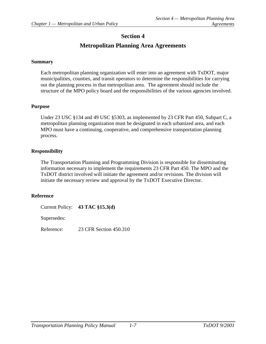# **Metropolitan Planning Area Agreements**

#### <span id="page-9-0"></span>**Summary**

Each metropolitan planning organization will enter into an agreement with TxDOT, major municipalities, counties, and transit operators to determine the responsibilities for carrying out the planning process in that metropolitan area. The agreement should include the structure of the MPO policy board and the responsibilities of the various agencies involved.

#### **Purpose**

Under 23 USC §134 and 49 USC §5303, as implemented by 23 CFR Part 450, Subpart C, a metropolitan planning organization must be designated in each urbanized area, and each MPO must have a continuing, cooperative, and comprehensive transportation planning process.

#### **Responsibility**

The Transportation Planning and Programming Division is responsible for disseminating information necessary to implement the requirements 23 CFR Part 450. The MPO and the TxDOT district involved will initiate the agreement and/or revisions. The division will initiate the necessary review and approval by the TxDOT Executive Director.

#### **Reference**

Current Policy: **43 TAC §15.3(d)** Supersedes: Reference: 23 CFR Section 450.310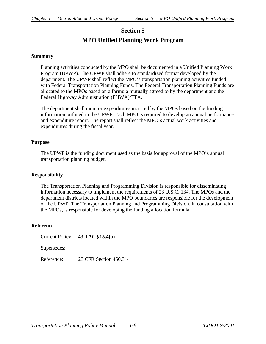# **Section 5 MPO Unified Planning Work Program**

#### <span id="page-10-0"></span>**Summary**

Planning activities conducted by the MPO shall be documented in a Unified Planning Work Program (UPWP). The UPWP shall adhere to standardized format developed by the department. The UPWP shall reflect the MPO's transportation planning activities funded with Federal Transportation Planning Funds. The Federal Transportation Planning Funds are allocated to the MPOs based on a formula mutually agreed to by the department and the Federal Highway Administration (FHWA)/FTA.

The department shall monitor expenditures incurred by the MPOs based on the funding information outlined in the UPWP. Each MPO is required to develop an annual performance and expenditure report. The report shall reflect the MPO's actual work activities and expenditures during the fiscal year.

#### **Purpose**

The UPWP is the funding document used as the basis for approval of the MPO's annual transportation planning budget.

#### **Responsibility**

The Transportation Planning and Programming Division is responsible for disseminating information necessary to implement the requirements of 23 U.S.C. 134. The MPOs and the department districts located within the MPO boundaries are responsible for the development of the UPWP. The Transportation Planning and Programming Division, in consultation with the MPOs, is responsible for developing the funding allocation formula.

#### **Reference**

Current Policy: **43 TAC §15.4(a)** Supersedes:

Reference: 23 CFR Section 450.314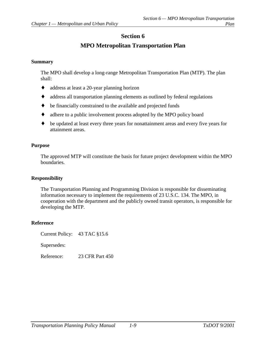# **MPO Metropolitan Transportation Plan**

#### <span id="page-11-0"></span>**Summary**

The MPO shall develop a long-range Metropolitan Transportation Plan (MTP). The plan shall:

- ♦ address at least a 20-year planning horizon
- ♦ address all transportation planning elements as outlined by federal regulations
- ♦ be financially constrained to the available and projected funds
- ♦ adhere to a public involvement process adopted by the MPO policy board
- ♦ be updated at least every three years for nonattainment areas and every five years for attainment areas.

#### **Purpose**

The approved MTP will constitute the basis for future project development within the MPO boundaries.

#### **Responsibility**

The Transportation Planning and Programming Division is responsible for disseminating information necessary to implement the requirements of 23 U.S.C. 134. The MPO, in cooperation with the department and the publicly owned transit operators, is responsible for developing the MTP.

#### **Reference**

Current Policy: 43 TAC §15.6

Supersedes:

Reference: 23 CFR Part 450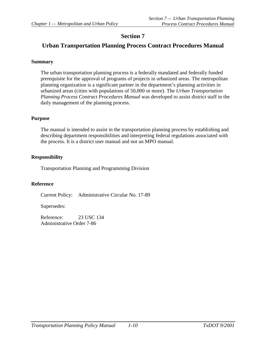### <span id="page-12-0"></span>**Urban Transportation Planning Process Contract Procedures Manual**

#### **Summary**

The urban transportation planning process is a federally mandated and federally funded prerequisite for the approval of programs of projects in urbanized areas. The metropolitan planning organization is a significant partner in the department's planning activities in urbanized areas (cities with populations of 50,000 or more). The *Urban Transportation Planning Process Contract Procedures Manual* was developed to assist district staff in the daily management of the planning process.

#### **Purpose**

The manual is intended to assist in the transportation planning process by establishing and describing department responsibilities and interpreting federal regulations associated with the process. It is a district user manual and not an MPO manual.

#### **Responsibility**

Transportation Planning and Programming Division

#### **Reference**

Current Policy: Administrative Circular No. 17-89

Supersedes:

Reference: 23 USC 134 Administrative Order 7-86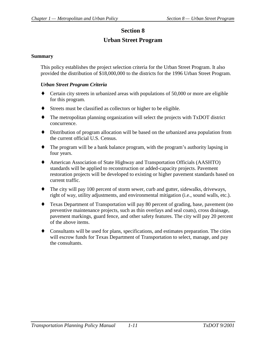# **Urban Street Program**

#### <span id="page-13-0"></span>**Summary**

This policy establishes the project selection criteria for the Urban Street Program. It also provided the distribution of \$18,000,000 to the districts for the 1996 Urban Street Program.

#### *Urban Street Program Criteria*

- ♦ Certain city streets in urbanized areas with populations of 50,000 or more are eligible for this program.
- ♦ Streets must be classified as collectors or higher to be eligible.
- ♦ The metropolitan planning organization will select the projects with TxDOT district concurrence.
- ♦ Distribution of program allocation will be based on the urbanized area population from the current official U.S. Census.
- ♦ The program will be a bank balance program, with the program's authority lapsing in four years.
- ♦ American Association of State Highway and Transportation Officials (AASHTO) standards will be applied to reconstruction or added-capacity projects. Pavement restoration projects will be developed to existing or higher pavement standards based on current traffic.
- ♦ The city will pay 100 percent of storm sewer, curb and gutter, sidewalks, driveways, right of way, utility adjustments, and environmental mitigation (i.e., sound walls, etc.).
- ♦ Texas Department of Transportation will pay 80 percent of grading, base, pavement (no preventive maintenance projects, such as thin overlays and seal coats), cross drainage, pavement markings, guard fence, and other safety features. The city will pay 20 percent of the above items.
- ♦ Consultants will be used for plans, specifications, and estimates preparation. The cities will escrow funds for Texas Department of Transportation to select, manage, and pay the consultants.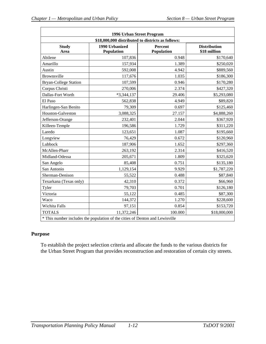<span id="page-14-0"></span>

|                                                   | 1996 Urban Street Program                                                    |                       |                                     |
|---------------------------------------------------|------------------------------------------------------------------------------|-----------------------|-------------------------------------|
| \$18,000,000 distributed to districts as follows: |                                                                              |                       |                                     |
| <b>Study</b><br>Area                              | 1990 Urbanized<br>Population                                                 | Percent<br>Population | <b>Distribution</b><br>\$18 million |
| Abilene                                           | 107,836                                                                      | 0.948                 | \$170,640                           |
| Amarillo                                          | 157,934                                                                      | 1.389                 | \$250,020                           |
| Austin                                            | 592,008                                                                      | 4.942                 | \$889,560                           |
| Brownsville                                       | 117,676                                                                      | 1.035                 | \$186,300                           |
| <b>Bryan-College Station</b>                      | 107,599                                                                      | 0.946                 | \$170,280                           |
| Corpus Christi                                    | 270,006                                                                      | 2.374                 | \$427,320                           |
| Dallas-Fort Worth                                 | $*3,344,137$                                                                 | 29.406                | \$5,293,080                         |
| El Paso                                           | 562,838                                                                      | 4.949                 | \$89,820                            |
| Harlingen-San Benito                              | 79,309                                                                       | 0.697                 | \$125,460                           |
| Houston-Galveston                                 | 3,088,325                                                                    | 27.157                | \$4,888,260                         |
| Jefferson-Orange                                  | 232,401                                                                      | 2.044                 | \$367,920                           |
| Killeen-Temple                                    | 196,586                                                                      | 1.729                 | \$311,220                           |
| Laredo                                            | 123,651                                                                      | 1.087                 | \$195,660                           |
| Longview                                          | 76,429                                                                       | 0.672                 | \$120,960                           |
| Lubbock                                           | 187,906                                                                      | 1.652                 | \$297,360                           |
| McAllen-Pharr                                     | 263,192                                                                      | 2.314                 | \$416,520                           |
| Midland-Odessa                                    | 205,671                                                                      | 1.809                 | \$325,620                           |
| San Angelo                                        | 85,408                                                                       | 0.751                 | \$135,180                           |
| San Antonio                                       | 1,129,154                                                                    | 9.929                 | \$1,787,220                         |
| Sherman-Denison                                   | 55,522                                                                       | 0.488                 | \$87,840                            |
| Texarkana (Texas only)                            | 42,310                                                                       | 0.372                 | \$66,960                            |
| Tyler                                             | 79,703                                                                       | 0.701                 | \$126,180                           |
| Victoria                                          | 55,122                                                                       | 0.485                 | \$87,300                            |
| Waco                                              | 144,372                                                                      | 1.270                 | \$228,600                           |
| Wichita Falls                                     | 97,151                                                                       | 0.854                 | \$153,720                           |
| <b>TOTALS</b>                                     | 11,372,246                                                                   | 100.000               | \$18,000,000                        |
|                                                   | * This number includes the population of the cities of Denton and Lewisville |                       |                                     |

#### **Purpose**

To establish the project selection criteria and allocate the funds to the various districts for the Urban Street Program that provides reconstruction and restoration of certain city streets.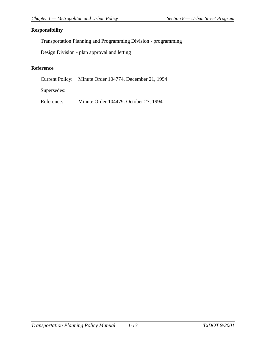#### <span id="page-15-0"></span>**Responsibility**

Transportation Planning and Programming Division - programming

Design Division - plan approval and letting

### **Reference**

Current Policy: Minute Order 104774, December 21, 1994

Supersedes:

Reference: Minute Order 104479. October 27, 1994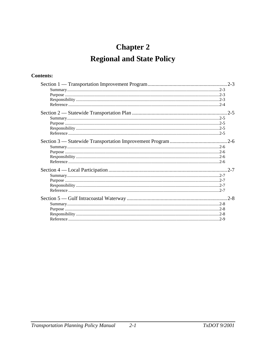# **Chapter 2 Regional and State Policy**

## **Contents:**

| $2 - 7$ |
|---------|
|         |
|         |
|         |
|         |
|         |
|         |
|         |
|         |
|         |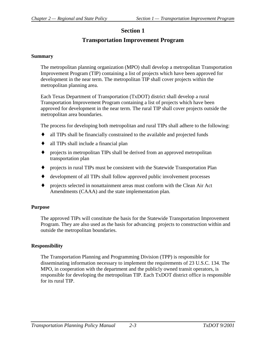# **Transportation Improvement Program**

#### <span id="page-18-0"></span>**Summary**

The metropolitan planning organization (MPO) shall develop a metropolitan Transportation Improvement Program (TIP) containing a list of projects which have been approved for development in the near term. The metropolitan TIP shall cover projects within the metropolitan planning area.

Each Texas Department of Transportation (TxDOT) district shall develop a rural Transportation Improvement Program containing a list of projects which have been approved for development in the near term. The rural TIP shall cover projects outside the metropolitan area boundaries.

The process for developing both metropolitan and rural TIPs shall adhere to the following:

- all TIPs shall be financially constrained to the available and projected funds
- all TIPs shall include a financial plan
- ♦ projects in metropolitan TIPs shall be derived from an approved metropolitan transportation plan
- ♦ projects in rural TIPs must be consistent with the Statewide Transportation Plan
- ♦ development of all TIPs shall follow approved public involvement processes
- ♦ projects selected in nonattainment areas must conform with the Clean Air Act Amendments (CAAA) and the state implementation plan.

#### **Purpose**

The approved TIPs will constitute the basis for the Statewide Transportation Improvement Program. They are also used as the basis for advancing projects to construction within and outside the metropolitan boundaries.

#### **Responsibility**

The Transportation Planning and Programming Division (TPP) is responsible for disseminating information necessary to implement the requirements of 23 U.S.C. 134. The MPO, in cooperation with the department and the publicly owned transit operators, is responsible for developing the metropolitan TIP. Each TxDOT district office is responsible for its rural TIP.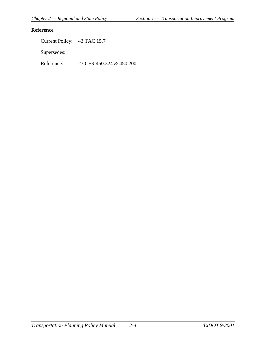### <span id="page-19-0"></span>**Reference**

Current Policy: 43 TAC 15.7

Supersedes:

Reference: 23 CFR 450.324 & 450.200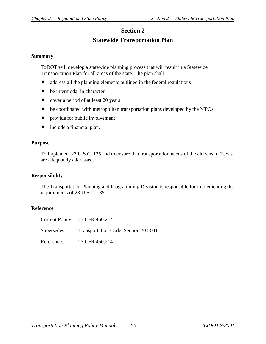# **Statewide Transportation Plan**

#### <span id="page-20-0"></span>**Summary**

TxDOT will develop a statewide planning process that will result in a Statewide Transportation Plan for all areas of the state. The plan shall:

- ♦ address all the planning elements outlined in the federal regulations
- $\bullet$  be intermodal in character
- ♦ cover a period of at least 20 years
- ♦ be coordinated with metropolitan transportation plans developed by the MPOs
- ♦ provide for public involvement
- ♦ include a financial plan.

#### **Purpose**

To implement 23 U.S.C. 135 and to ensure that transportation needs of the citizens of Texas are adequately addressed.

#### **Responsibility**

The Transportation Planning and Programming Division is responsible for implementing the requirements of 23 U.S.C. 135.

|            | Current Policy: 23 CFR 450.214                   |
|------------|--------------------------------------------------|
|            | Supersedes: Transportation Code, Section 201.601 |
| Reference: | 23 CFR 450.214                                   |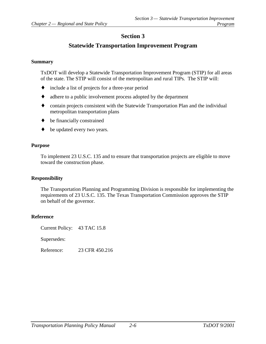## **Statewide Transportation Improvement Program**

#### <span id="page-21-0"></span>**Summary**

TxDOT will develop a Statewide Transportation Improvement Program (STIP) for all areas of the state. The STIP will consist of the metropolitan and rural TIPs. The STIP will:

- ♦ include a list of projects for a three-year period
- ♦ adhere to a public involvement process adopted by the department
- ♦ contain projects consistent with the Statewide Transportation Plan and the individual metropolitan transportation plans
- ♦ be financially constrained
- be updated every two years.

#### **Purpose**

To implement 23 U.S.C. 135 and to ensure that transportation projects are eligible to move toward the construction phase.

#### **Responsibility**

The Transportation Planning and Programming Division is responsible for implementing the requirements of 23 U.S.C. 135. The Texas Transportation Commission approves the STIP on behalf of the governor.

#### **Reference**

Current Policy: 43 TAC 15.8

Supersedes:

Reference: 23 CFR 450.216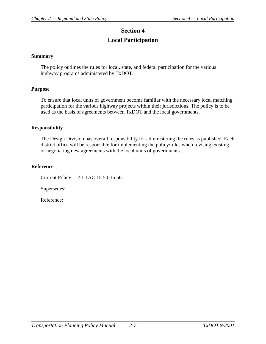# **Section 4 Local Participation**

#### <span id="page-22-0"></span>**Summary**

The policy outlines the rules for local, state, and federal participation for the various highway programs administered by TxDOT.

#### **Purpose**

To ensure that local units of government become familiar with the necessary local matching participation for the various highway projects within their jurisdictions. The policy is to be used as the basis of agreements between TxDOT and the local governments.

#### **Responsibility**

The Design Division has overall responsibility for administering the rules as published. Each district office will be responsible for implementing the policy/rules when revising existing or negotiating new agreements with the local units of governments.

#### **Reference**

Current Policy: 43 TAC 15.50-15.56

Supersedes: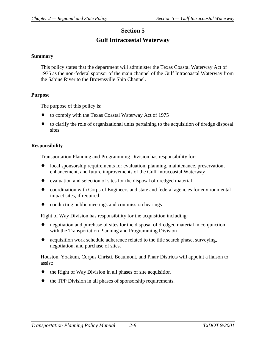# **Gulf Intracoastal Waterway**

#### <span id="page-23-0"></span>**Summary**

This policy states that the department will administer the Texas Coastal Waterway Act of 1975 as the non-federal sponsor of the main channel of the Gulf Intracoastal Waterway from the Sabine River to the Brownsville Ship Channel.

#### **Purpose**

The purpose of this policy is:

- ♦ to comply with the Texas Coastal Waterway Act of 1975
- to clarify the role of organizational units pertaining to the acquisition of dredge disposal sites.

#### **Responsibility**

Transportation Planning and Programming Division has responsibility for:

- ♦ local sponsorship requirements for evaluation, planning, maintenance, preservation, enhancement, and future improvements of the Gulf Intracoastal Waterway
- ♦ evaluation and selection of sites for the disposal of dredged material
- ♦ coordination with Corps of Engineers and state and federal agencies for environmental impact sites, if required
- conducting public meetings and commission hearings

Right of Way Division has responsibility for the acquisition including:

- ♦ negotiation and purchase of sites for the disposal of dredged material in conjunction with the Transportation Planning and Programming Division
- ♦ acquisition work schedule adherence related to the title search phase, surveying, negotiation, and purchase of sites.

Houston, Yoakum, Corpus Christi, Beaumont, and Pharr Districts will appoint a liaison to assist:

- the Right of Way Division in all phases of site acquisition
- the TPP Division in all phases of sponsorship requirements.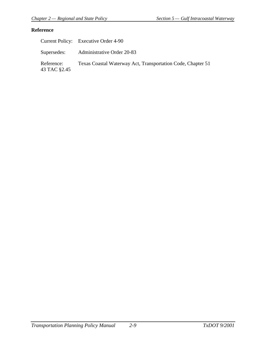<span id="page-24-0"></span>

|                            | Current Policy: Executive Order 4-90                        |
|----------------------------|-------------------------------------------------------------|
|                            | Supersedes: Administrative Order 20-83                      |
| Reference:<br>43 TAC §2.45 | Texas Coastal Waterway Act, Transportation Code, Chapter 51 |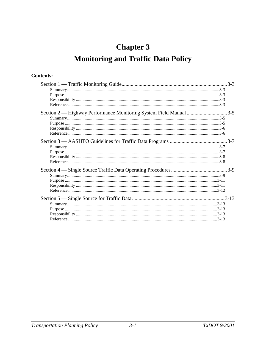# **Chapter 3 Monitoring and Traffic Data Policy**

# **Contents:**

| Section 2 — Highway Performance Monitoring System Field Manual 3-5 |  |
|--------------------------------------------------------------------|--|
|                                                                    |  |
|                                                                    |  |
|                                                                    |  |
|                                                                    |  |
|                                                                    |  |
|                                                                    |  |
|                                                                    |  |
|                                                                    |  |
|                                                                    |  |
|                                                                    |  |
|                                                                    |  |
|                                                                    |  |
|                                                                    |  |
|                                                                    |  |
|                                                                    |  |
|                                                                    |  |
|                                                                    |  |
|                                                                    |  |
|                                                                    |  |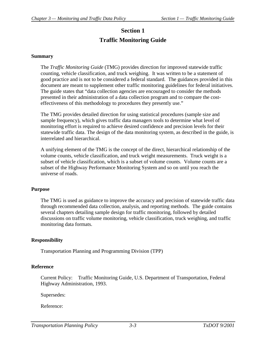# **Section 1 Traffic Monitoring Guide**

#### <span id="page-27-0"></span>**Summary**

The *Traffic Monitoring Guide* (TMG) provides direction for improved statewide traffic counting, vehicle classification, and truck weighing. It was written to be a statement of good practice and is not to be considered a federal standard. The guidances provided in this document are meant to supplement other traffic monitoring guidelines for federal initiatives. The guide states that "data collection agencies are encouraged to consider the methods presented in their administration of a data collection program and to compare the costeffectiveness of this methodology to procedures they presently use."

The TMG provides detailed direction for using statistical procedures (sample size and sample frequency), which gives traffic data managers tools to determine what level of monitoring effort is required to achieve desired confidence and precision levels for their statewide traffic data. The design of the data monitoring system, as described in the guide, is interrelated and hierarchical.

A unifying element of the TMG is the concept of the direct, hierarchical relationship of the volume counts, vehicle classification, and truck weight measurements. Truck weight is a subset of vehicle classification, which is a subset of volume counts. Volume counts are a subset of the Highway Performance Monitoring System and so on until you reach the universe of roads.

#### **Purpose**

The TMG is used as guidance to improve the accuracy and precision of statewide traffic data through recommended data collection, analysis, and reporting methods. The guide contains several chapters detailing sample design for traffic monitoring, followed by detailed discussions on traffic volume monitoring, vehicle classification, truck weighing, and traffic monitoring data formats.

#### **Responsibility**

Transportation Planning and Programming Division (TPP)

#### **Reference**

Current Policy: Traffic Monitoring Guide, U.S. Department of Transportation, Federal Highway Administration, 1993.

Supersedes: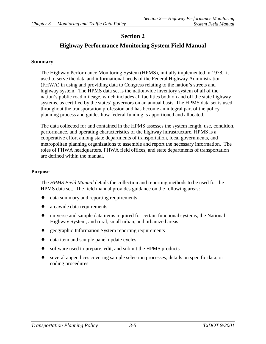# **Highway Performance Monitoring System Field Manual**

#### <span id="page-29-0"></span>**Summary**

The Highway Performance Monitoring System (HPMS), initially implemented in 1978, is used to serve the data and informational needs of the Federal Highway Administration (FHWA) in using and providing data to Congress relating to the nation's streets and highway system. The HPMS data set is the nationwide inventory system of all of the nation's public road mileage, which includes all facilities both on and off the state highway systems, as certified by the states' governors on an annual basis. The HPMS data set is used throughout the transportation profession and has become an integral part of the policy planning process and guides how federal funding is apportioned and allocated.

The data collected for and contained in the HPMS assesses the system length, use, condition, performance, and operating characteristics of the highway infrastructure. HPMS is a cooperative effort among state departments of transportation, local governments, and metropolitan planning organizations to assemble and report the necessary information. The roles of FHWA headquarters, FHWA field offices, and state departments of transportation are defined within the manual.

#### **Purpose**

The *HPMS Field Manual* details the collection and reporting methods to be used for the HPMS data set. The field manual provides guidance on the following areas:

- data summary and reporting requirements
- ♦ areawide data requirements
- ♦ universe and sample data items required for certain functional systems, the National Highway System, and rural, small urban, and urbanized areas
- ♦ geographic Information System reporting requirements
- ♦ data item and sample panel update cycles
- software used to prepare, edit, and submit the HPMS products
- ♦ several appendices covering sample selection processes, details on specific data, or coding procedures.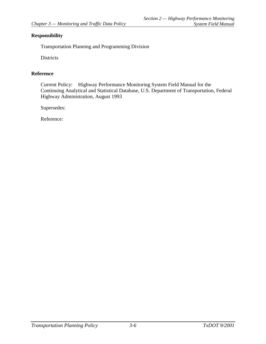### <span id="page-30-0"></span>**Responsibility**

Transportation Planning and Programming Division

Districts

### **Reference**

Current Policy: Highway Performance Monitoring System Field Manual for the Continuing Analytical and Statistical Database, U.S. Department of Transportation, Federal Highway Administration, August 1993

Supersedes: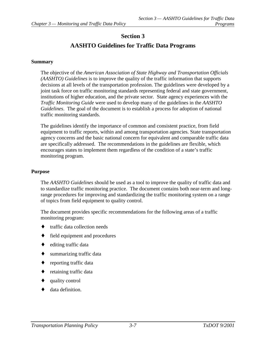# **AASHTO Guidelines for Traffic Data Programs**

#### <span id="page-31-0"></span>**Summary**

The objective of the *American Association of State Highway and Transportation Officials (AASHTO) Guidelines* is to improve the quality of the traffic information that supports decisions at all levels of the transportation profession. The guidelines were developed by a joint task force on traffic monitoring standards representing federal and state government, institutions of higher education, and the private sector. State agency experiences with the *Traffic Monitoring Guide* were used to develop many of the guidelines in the *AASHTO Guidelines*. The goal of the document is to establish a process for adoption of national traffic monitoring standards.

The guidelines identify the importance of common and consistent practice, from field equipment to traffic reports, within and among transportation agencies. State transportation agency concerns and the basic national concern for equivalent and comparable traffic data are specifically addressed. The recommendations in the guidelines are flexible, which encourages states to implement them regardless of the condition of a state's traffic monitoring program.

#### **Purpose**

The *AASHTO Guidelines* should be used as a tool to improve the quality of traffic data and to standardize traffic monitoring practice. The document contains both near-term and longrange procedures for improving and standardizing the traffic monitoring system on a range of topics from field equipment to quality control.

The document provides specific recommendations for the following areas of a traffic monitoring program:

- traffic data collection needs
- ♦ field equipment and procedures
- $\bullet$  editing traffic data
- $\bullet$  summarizing traffic data
- reporting traffic data
- retaining traffic data
- quality control
- data definition.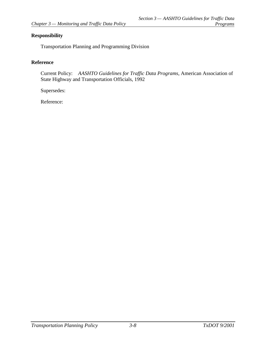### <span id="page-32-0"></span>**Responsibility**

Transportation Planning and Programming Division

#### **Reference**

Current Policy: *AASHTO Guidelines for Traffic Data Programs*, American Association of State Highway and Transportation Officials, 1992

Supersedes: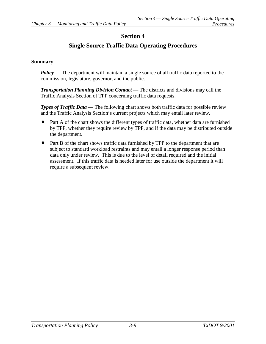# **Single Source Traffic Data Operating Procedures**

### <span id="page-33-0"></span>**Summary**

*Policy* — The department will maintain a single source of all traffic data reported to the commission, legislature, governor, and the public.

*Transportation Planning Division Contact* — The districts and divisions may call the Traffic Analysis Section of TPP concerning traffic data requests.

*Types of Traffic Data* — The following chart shows both traffic data for possible review and the Traffic Analysis Section's current projects which may entail later review.

- ♦ Part A of the chart shows the different types of traffic data, whether data are furnished by TPP, whether they require review by TPP, and if the data may be distributed outside the department.
- ♦ Part B of the chart shows traffic data furnished by TPP to the department that are subject to standard workload restraints and may entail a longer response period than data only under review. This is due to the level of detail required and the initial assessment. If this traffic data is needed later for use outside the department it will require a subsequent review.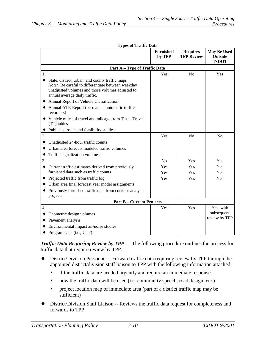| Types of Traffic Data                                                                                                                                                                          |                            |                                      |                                                      |
|------------------------------------------------------------------------------------------------------------------------------------------------------------------------------------------------|----------------------------|--------------------------------------|------------------------------------------------------|
|                                                                                                                                                                                                | <b>Furnished</b><br>by TPP | <b>Requires</b><br><b>TPP Review</b> | <b>May Be Used</b><br><b>Outside</b><br><b>TxDOT</b> |
| Part A - Type of Traffic Data                                                                                                                                                                  |                            |                                      |                                                      |
| 1.                                                                                                                                                                                             | Yes                        | No                                   | Yes                                                  |
| State, district, urban, and county traffic maps<br>٠<br>Note: Be careful to differentiate between weekday<br>unadjusted volumes and those volumes adjusted to<br>annual average daily traffic. |                            |                                      |                                                      |
| Annual Report of Vehicle Classification                                                                                                                                                        |                            |                                      |                                                      |
| Annual ATR Report (permanent automatic traffic<br>recorders)                                                                                                                                   |                            |                                      |                                                      |
| Vehicle miles of travel and mileage from Texas Travel<br>(TT) tables                                                                                                                           |                            |                                      |                                                      |
| Published route and feasibility studies<br>٠                                                                                                                                                   |                            |                                      |                                                      |
| 2.                                                                                                                                                                                             | Yes                        | No                                   | No                                                   |
| Unadjusted 24-hour traffic counts<br>٠                                                                                                                                                         |                            |                                      |                                                      |
| Urban area forecast modeled traffic volumes<br>٠                                                                                                                                               |                            |                                      |                                                      |
| Traffic signalization volumes                                                                                                                                                                  |                            |                                      |                                                      |
| 3.                                                                                                                                                                                             | No                         | Yes                                  | Yes                                                  |
| Current traffic estimates derived from previously                                                                                                                                              | Yes                        | Yes                                  | Yes                                                  |
| furnished data such as traffic counts                                                                                                                                                          | Yes                        | Yes                                  | Yes                                                  |
| Projected traffic from traffic log<br>٠                                                                                                                                                        | Yes                        | Yes                                  | Yes                                                  |
| Urban area final forecast year model assignments                                                                                                                                               |                            |                                      |                                                      |
| Previously furnished traffic data from corridor analysis<br>projects                                                                                                                           |                            |                                      |                                                      |
| <b>Part B - Current Projects</b>                                                                                                                                                               |                            |                                      |                                                      |
| 4.                                                                                                                                                                                             | Yes                        | Yes                                  | Yes, with                                            |
| Geometric design volumes                                                                                                                                                                       |                            |                                      | subsequent                                           |
| Pavement analysis                                                                                                                                                                              |                            |                                      | review by TPP                                        |
| Environmental impact air/noise studies                                                                                                                                                         |                            |                                      |                                                      |
| Program calls (i.e., UTP)                                                                                                                                                                      |                            |                                      |                                                      |

#### **Types of Traffic Data**

*Traffic Data Requiring Review by TPP* — The following procedure outlines the process for traffic data that require review by TPP:

- ♦ District/Division Personnel Forward traffic data requiring review by TPP through the appointed district/division staff liaison to TPP with the following information attached:
	- if the traffic data are needed urgently and require an immediate response
	- how the traffic data will be used (i.e. community speech, road design, etc.)
	- project location map of immediate area (part of a district traffic map may be sufficient)
- ♦ District/Division Staff Liaison -- Reviews the traffic data request for completeness and forwards to TPP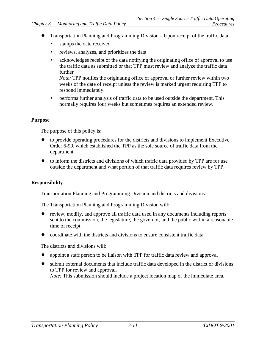- <span id="page-35-0"></span>Transportation Planning and Programming Division – Upon receipt of the traffic data:
	- stamps the date received
	- reviews, analyzes, and prioritizes the data
	- acknowledges receipt of the data notifying the originating office of approval to use the traffic data as submitted or that TPP must review and analyze the traffic data further

*Note:* TPP notifies the originating office of approval or further review within two weeks of the date of receipt unless the review is marked urgent requiring TPP to respond immediately.

• performs further analysis of traffic data to be used outside the department. This normally requires four weeks but sometimes requires an extended review.

#### **Purpose**

The purpose of this policy is:

- ♦ to provide operating procedures for the districts and divisions to implement Executive Order 6-90, which established the TPP as the sole source of traffic data from the department
- to inform the districts and divisions of which traffic data provided by TPP are for use outside the department and what portion of that traffic data requires review by TPP.

#### **Responsibility**

Transportation Planning and Programming Division and districts and divisions

The Transportation Planning and Programming Division will:

- review, modify, and approve all traffic data used in any documents including reports sent to the commission, the legislature, the governor, and the public within a reasonable time of receipt
- ♦ coordinate with the districts and divisions to ensure consistent traffic data.

The districts and divisions will:

- appoint a staff person to be liaison with TPP for traffic data review and approval
- ♦ submit external documents that include traffic data developed in the district or divisions to TPP for review and approval. *Note:* This submission should include a project location map of the immediate area.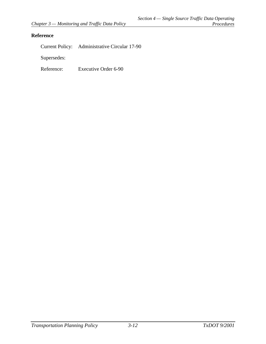### <span id="page-36-0"></span>**Reference**

Current Policy: Administrative Circular 17-90

Supersedes:

Reference: Executive Order 6-90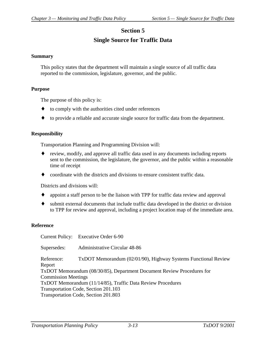# **Single Source for Traffic Data**

#### <span id="page-37-0"></span>**Summary**

This policy states that the department will maintain a single source of all traffic data reported to the commission, legislature, governor, and the public.

#### **Purpose**

The purpose of this policy is:

- to comply with the authorities cited under references
- ♦ to provide a reliable and accurate single source for traffic data from the department.

#### **Responsibility**

Transportation Planning and Programming Division will:

- review, modify, and approve all traffic data used in any documents including reports sent to the commission, the legislature, the governor, and the public within a reasonable time of receipt
- coordinate with the districts and divisions to ensure consistent traffic data.

Districts and divisions will:

- appoint a staff person to be the liaison with TPP for traffic data review and approval
- ♦ submit external documents that include traffic data developed in the district or division to TPP for review and approval, including a project location map of the immediate area.

#### **Reference**

Current Policy: Executive Order 6-90 Supersedes: Administrative Circular 48-86 Reference: TxDOT Memorandum (02/01/90), Highway Systems Functional Review Report TxDOT Memorandum (08/30/85), Department Document Review Procedures for Commission Meetings TxDOT Memorandum (11/14/85), Traffic Data Review Procedures Transportation Code, Section 201.103 Transportation Code, Section 201.803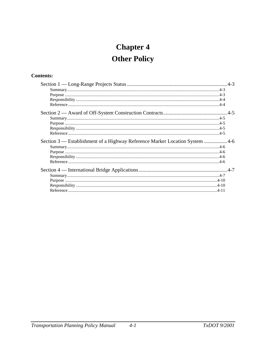# **Chapter 4 Other Policy**

## **Contents:**

| Section 3 — Establishment of a Highway Reference Marker Location System 4-6 |  |
|-----------------------------------------------------------------------------|--|
|                                                                             |  |
|                                                                             |  |
|                                                                             |  |
|                                                                             |  |
|                                                                             |  |
|                                                                             |  |
|                                                                             |  |
|                                                                             |  |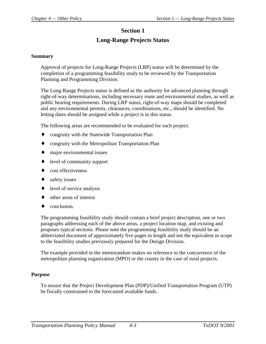# **Section 1 Long-Range Projects Status**

#### <span id="page-40-0"></span>**Summary**

Approval of projects for Long-Range Projects (LRP) status will be determined by the completion of a programming feasibility study to be reviewed by the Transportation Planning and Programming Division.

The Long-Range Projects status is defined as the authority for advanced planning through right-of-way determinations, including necessary route and environmental studies, as well as public hearing requirements. During LRP status, right-of-way maps should be completed and any environmental permits, clearances, coordinations, etc., should be identified. No letting dates should be assigned while a project is in this status.

The following areas are recommended to be evaluated for each project:

- congruity with the Statewide Transportation Plan
- congruity with the Metropolitan Transportation Plan
- ♦ major environmental issues
- ♦ level of community support
- cost effectiveness
- safety issues
- level of service analysis
- other areas of interest
- conclusion.

The programming feasibility study should contain a brief project description, one or two paragraphs addressing each of the above areas, a project location map, and existing and proposes typical sections. Please note the programming feasibility study should be an abbreviated document of approximately five pages in length and not the equivalent in scope to the feasibility studies previously prepared for the Design Division.

The example provided in the memorandum makes no reference to the concurrence of the metropolitan planning organization (MPO) or the county in the case of rural projects.

#### **Purpose**

To ensure that the Project Development Plan (PDP)/Unified Transportation Program (UTP) be fiscally constrained to the forecasted available funds.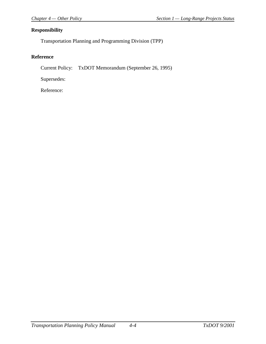### <span id="page-41-0"></span>**Responsibility**

Transportation Planning and Programming Division (TPP)

### **Reference**

Current Policy: TxDOT Memorandum (September 26, 1995)

Supersedes: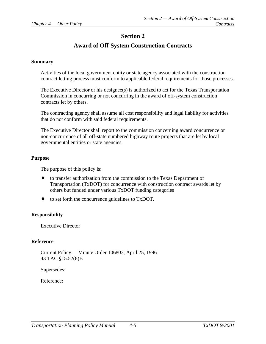# **Award of Off-System Construction Contracts**

#### <span id="page-42-0"></span>**Summary**

Activities of the local government entity or state agency associated with the construction contract letting process must conform to applicable federal requirements for those processes.

The Executive Director or his designee(s) is authorized to act for the Texas Transportation Commission in concurring or not concurring in the award of off-system construction contracts let by others.

The contracting agency shall assume all cost responsibility and legal liability for activities that do not conform with said federal requirements.

The Executive Director shall report to the commission concerning award concurrence or non-concurrence of all off-state numbered highway route projects that are let by local governmental entities or state agencies.

#### **Purpose**

The purpose of this policy is:

- ♦ to transfer authorization from the commission to the Texas Department of Transportation (TxDOT) for concurrence with construction contract awards let by others but funded under various TxDOT funding categories
- ♦ to set forth the concurrence guidelines to TxDOT.

#### **Responsibility**

Executive Director

#### **Reference**

Current Policy: Minute Order 106803, April 25, 1996 43 TAC §15.52(8)B

Supersedes: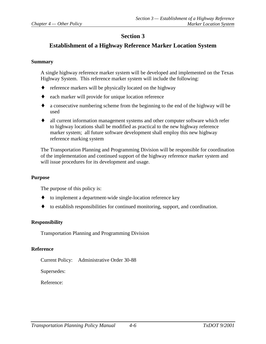# <span id="page-43-0"></span>**Establishment of a Highway Reference Marker Location System**

#### **Summary**

A single highway reference marker system will be developed and implemented on the Texas Highway System. This reference marker system will include the following:

- ♦ reference markers will be physically located on the highway
- ♦ each marker will provide for unique location reference
- ♦ a consecutive numbering scheme from the beginning to the end of the highway will be used
- ♦ all current information management systems and other computer software which refer to highway locations shall be modified as practical to the new highway reference marker system; all future software development shall employ this new highway reference marking system

The Transportation Planning and Programming Division will be responsible for coordination of the implementation and continued support of the highway reference marker system and will issue procedures for its development and usage.

#### **Purpose**

The purpose of this policy is:

- ♦ to implement a department-wide single-location reference key
- ♦ to establish responsibilities for continued monitoring, support, and coordination.

#### **Responsibility**

Transportation Planning and Programming Division

#### **Reference**

Current Policy: Administrative Order 30-88

Supersedes: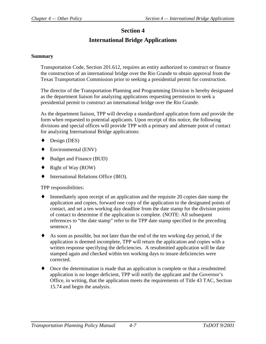# **International Bridge Applications**

#### <span id="page-44-0"></span>**Summary**

Transportation Code, Section 201.612, requires an entity authorized to construct or finance the construction of an international bridge over the Rio Grande to obtain approval from the Texas Transportation Commission prior to seeking a presidential permit for construction.

The director of the Transportation Planning and Programming Division is hereby designated as the department liaison for analyzing applications requesting permission to seek a presidential permit to construct an international bridge over the Rio Grande.

As the department liaison, TPP will develop a standardized application form and provide the form when requested to potential applicants. Upon receipt of this notice, the following divisions and special offices will provide TPP with a primary and alternate point of contact for analyzing International Bridge applications:

- Design (DES)
- ♦ Environmental (ENV)
- ♦ Budget and Finance (BUD)
- ♦ Right of Way (ROW)
- International Relations Office (IRO).

TPP responsibilities:

- ♦ Immediately upon receipt of an application and the requisite 20 copies date stamp the application and copies, forward one copy of the application to the designated points of contact, and set a ten working day deadline from the date stamp for the division points of contact to determine if the application is complete. (NOTE: All subsequent references to "the date stamp" refer to the TPP date stamp specified in the preceding sentence.)
- ♦ As soon as possible, but not later than the end of the ten working day period, if the application is deemed incomplete, TPP will return the application and copies with a written response specifying the deficiencies. A resubmitted application will be date stamped again and checked within ten working days to insure deficiencies were corrected.
- ♦ Once the determination is made that an application is complete or that a resubmitted application is no longer deficient, TPP will notify the applicant and the Governor's Office, in writing, that the application meets the requirements of Title 43 TAC, Section 15.74 and begin the analysis.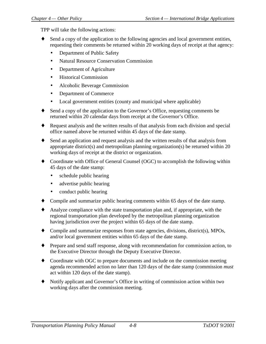TPP will take the following actions:

- Send a copy of the application to the following agencies and local government entities, requesting their comments be returned within 20 working days of receipt at that agency:
	- Department of Public Safety
	- Natural Resource Conservation Commission
	- Department of Agriculture
	- Historical Commission
	- Alcoholic Beverage Commission
	- Department of Commerce
	- Local government entities (county and municipal where applicable)
- Send a copy of the application to the Governor's Office, requesting comments be returned within 20 calendar days from receipt at the Governor's Office.
- ♦ Request analysis and the written results of that analysis from each division and special office named above be returned within 45 days of the date stamp.
- ♦ Send an application and request analysis and the written results of that analysis from appropriate district(s) and metropolitan planning organization(s) be returned within 20 working days of receipt at the district or organization.
- ♦ Coordinate with Office of General Counsel (OGC) to accomplish the following within 45 days of the date stamp:
	- schedule public hearing
	- advertise public hearing
	- conduct public hearing
- ♦ Compile and summarize public hearing comments within 65 days of the date stamp.
- ♦ Analyze compliance with the state transportation plan and, if appropriate, with the regional transportation plan developed by the metropolitan planning organization having jurisdiction over the project within 65 days of the date stamp.
- ♦ Compile and summarize responses from state agencies, divisions, district(s), MPOs, and/or local government entities within 65 days of the date stamp.
- ♦ Prepare and send staff response, along with recommendation for commission action, to the Executive Director through the Deputy Executive Director.
- ♦ Coordinate with OGC to prepare documents and include on the commission meeting agenda recommended action no later than 120 days of the date stamp (commission *must* act within 120 days of the date stamp).
- ♦ Notify applicant and Governor's Office in writing of commission action within two working days after the commission meeting.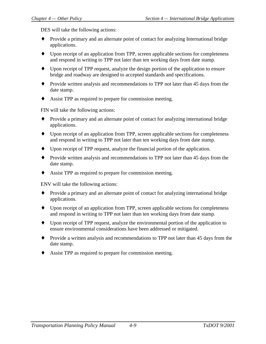DES will take the following actions:

- ♦ Provide a primary and an alternate point of contact for analyzing International bridge applications.
- ♦ Upon receipt of an application from TPP, screen applicable sections for completeness and respond in writing to TPP not later than ten working days from date stamp.
- ♦ Upon receipt of TPP request, analyze the design portion of the application to ensure bridge and roadway are designed to accepted standards and specifications.
- ♦ Provide written analysis and recommendations to TPP not later than 45 days from the date stamp.
- Assist TPP as required to prepare for commission meeting.

FIN will take the following actions:

- ♦ Provide a primary and an alternate point of contact for analyzing international bridge applications.
- ♦ Upon receipt of an application from TPP, screen applicable sections for completeness and respond in writing to TPP not later than ten working days from date stamp.
- ♦ Upon receipt of TPP request, analyze the financial portion of the application.
- ♦ Provide written analysis and recommendations to TPP not later than 45 days from the date stamp.
- Assist TPP as required to prepare for commission meeting.

ENV will take the following actions:

- ♦ Provide a primary and an alternate point of contact for analyzing international bridge applications.
- ♦ Upon receipt of an application from TPP, screen applicable sections for completeness and respond in writing to TPP not later than ten working days from date stamp.
- ♦ Upon receipt of TPP request, analyze the environmental portion of the application to ensure environmental considerations have been addressed or mitigated.
- ♦ Provide a written analysis and recommendations to TPP not later than 45 days from the date stamp.
- Assist TPP as required to prepare for commission meeting.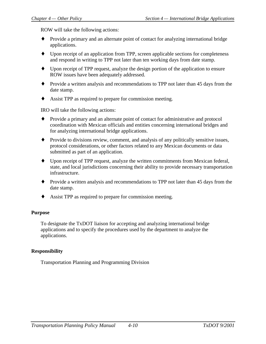<span id="page-47-0"></span>ROW will take the following actions:

- ♦ Provide a primary and an alternate point of contact for analyzing international bridge applications.
- ♦ Upon receipt of an application from TPP, screen applicable sections for completeness and respond in writing to TPP not later than ten working days from date stamp.
- ♦ Upon receipt of TPP request, analyze the design portion of the application to ensure ROW issues have been adequately addressed.
- ♦ Provide a written analysis and recommendations to TPP not later than 45 days from the date stamp.
- Assist TPP as required to prepare for commission meeting.

IRO will take the following actions:

- ♦ Provide a primary and an alternate point of contact for administrative and protocol coordination with Mexican officials and entities concerning international bridges and for analyzing international bridge applications.
- ♦ Provide to divisions review, comment, and analysis of any politically sensitive issues, protocol considerations, or other factors related to any Mexican documents or data submitted as part of an application.
- ♦ Upon receipt of TPP request, analyze the written commitments from Mexican federal, state, and local jurisdictions concerning their ability to provide necessary transportation infrastructure.
- ♦ Provide a written analysis and recommendations to TPP not later than 45 days from the date stamp.
- ♦ Assist TPP as required to prepare for commission meeting.

### **Purpose**

To designate the TxDOT liaison for accepting and analyzing international bridge applications and to specify the procedures used by the department to analyze the applications.

### **Responsibility**

Transportation Planning and Programming Division